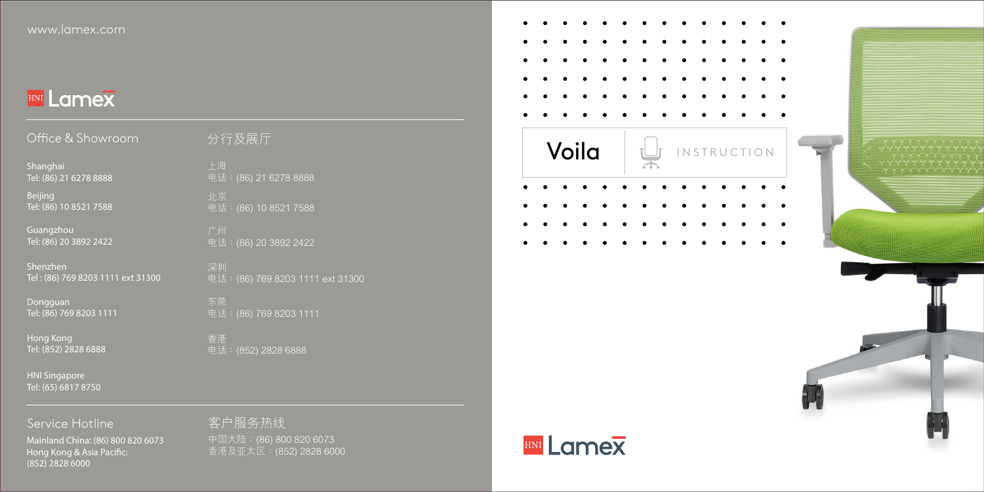# **HNI Lamex**

| Office & Showroom                 | 分行及展厅            |
|-----------------------------------|------------------|
| Shanghai                          | 上海               |
| Tel: (86) 21 6278 8888            | 电话: (86) 21 6278 |
| Beijing                           | 北京               |
| Tel: (86) 10 8521 7588            | 电话: (86) 10 852  |
| Guangzhou                         | 广州               |
| Tel: (86) 20 3892 2422            | 电话: (86) 20 3892 |
| Shenzhen                          | 深圳               |
| Tel: (86) 769 8203 1111 ext 31300 | 电话: (86) 769 820 |

Tel: (86) 769 8203 1111

Hong Kong Tel: (852) 2828 6888

HNI Singapore Tel: (65) 6817 8750

2 2422

03 1111 ext 31300

電話:(86) 769 8203 1111

電話:(852) 2828 6888

Service Hotline Mainland China: (86) 800 820 6073 Hong Kong & Asia Pacifc: (852) 2828 6000

中國大陸:(86) 800 820 6073 香港及亞太區:(852) 2828 6000 客戶服務熱線